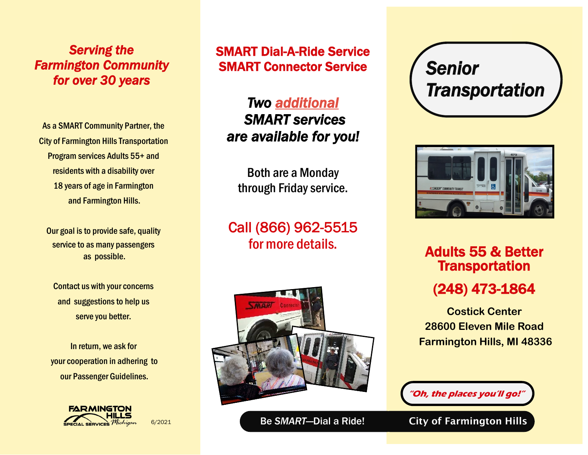*Serving the Farmington Community for over 30 years* 

As a SMART Community Partner, the City of Farmington Hills Transportation Program services Adults 55+ and residents with a disability over 18 years of age in Farmington and Farmington Hills.

Our goal is to provide safe, quality service to as many passengers as possible.

Contact us with your concerns and suggestions to help us serve you better.

In return, we ask for your cooperation in adhering to our Passenger Guidelines.



6/2021

SMART Dial-A-Ride Service SMART Connector Service

*Two additional SMART services are available for you!* 

Both are a Monday through Friday service.

Call (866) 962-5515







for more details.<br> **Adults 55 & Better Transportation** (248) 473-1864

> **Costick Center 28600 Eleven Mile Road Farmington Hills, MI 48336**

**"Oh, the places you'll go!"**

Be SMART-Dial a Ride! City of Farmington Hills